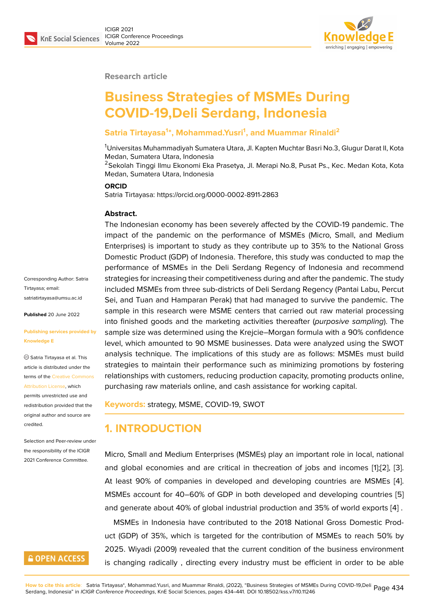

#### **Research article**

# **Business Strategies of MSMEs During COVID-19,Deli Serdang, Indonesia**

#### **Satria Tirtayasa<sup>1</sup> \*, Mohammad.Yusri<sup>1</sup> , and Muammar Rinaldi<sup>2</sup>**

<sup>1</sup>Universitas Muhammadiyah Sumatera Utara, Jl. Kapten Muchtar Basri No.3, Glugur Darat II, Kota Medan, Sumatera Utara, Indonesia

<sup>2</sup>Sekolah Tinggi Ilmu Ekonomi Eka Prasetya, Jl. Merapi No.8, Pusat Ps., Kec. Medan Kota, Kota Medan, Sumatera Utara, Indonesia

#### **ORCID**

Satria Tirtayasa: https://orcid.org/0000-0002-8911-2863

#### **Abstract.**

The Indonesian economy has been severely affected by the COVID-19 pandemic. The impact of the pandemic on the performance of MSMEs (Micro, Small, and Medium Enterprises) is important to study as they contribute up to 35% to the National Gross Domestic Product (GDP) of Indonesia. Therefore, this study was conducted to map the performance of MSMEs in the Deli Serdang Regency of Indonesia and recommend strategies for increasing their competitiveness during and after the pandemic. The study included MSMEs from three sub-districts of Deli Serdang Regency (Pantai Labu, Percut Sei, and Tuan and Hamparan Perak) that had managed to survive the pandemic. The sample in this research were MSME centers that carried out raw material processing into finished goods and the marketing activities thereafter (*purposive sampling*). The sample size was determined using the Krejcie–Morgan formula with a 90% confidence level, which amounted to 90 MSME businesses. Data were analyzed using the SWOT analysis technique. The implications of this study are as follows: MSMEs must build strategies to maintain their performance such as minimizing promotions by fostering relationships with customers, reducing production capacity, promoting products online, purchasing raw materials online, and cash assistance for working capital.

**Keywords:** strategy, MSME, COVID-19, SWOT

### **1. INTRODUCTION**

Micro, Small and Medium Enterprises (MSMEs) play an important role in local, national and global economies and are critical in thecreation of jobs and incomes [1];[2], [3]. At least 90% of companies in developed and developing countries are MSMEs [4]. MSMEs account for 40–60% of GDP in both developed and developing countries [5] and generate about 40% of global industrial production and 35% of world ex[po](#page-6-0)[rts](#page-6-1) [[4\]](#page-6-2) .

MSMEs in Indonesia have contributed to the 2018 National Gross Domestic Pr[od](#page-6-3)uct (GDP) of 35%, which is targeted for the contribution of MSMEs to reach 50% [by](#page-6-4) 2025. Wiyadi (2009) revealed that the current condition of the business environ[me](#page-6-3)nt is changing radically , directing every industry must be efficient in order to be able

Corresponding Author: Satria Tirtayasa; email: satriatirtayasa@umsu.ac.id

**Published** 20 June 2022

#### **[Publishing services provid](mailto:satriatirtayasa@umsu.ac.id)ed by Knowledge E**

Satria Tirtayasa et al. This article is distributed under the terms of the Creative Commons Attribution License, which

permits unrestricted use and redistribution provided that the original auth[or and source are](https://creativecommons.org/licenses/by/4.0/) [credited.](https://creativecommons.org/licenses/by/4.0/)

Selection and Peer-review under the responsibility of the ICIGR 2021 Conference Committee.

### **GOPEN ACCESS**

<mark>How to cite this article</mark>: Satria Tirtayasa\*, Mohammad.Yusri, and Muammar Rinaldi, (2022), "Business Strategies of MSMEs During COVID-19,Deli Page 434<br>Serdang, Indonesia" in *ICIGR Conference Proceedings*, KnE Social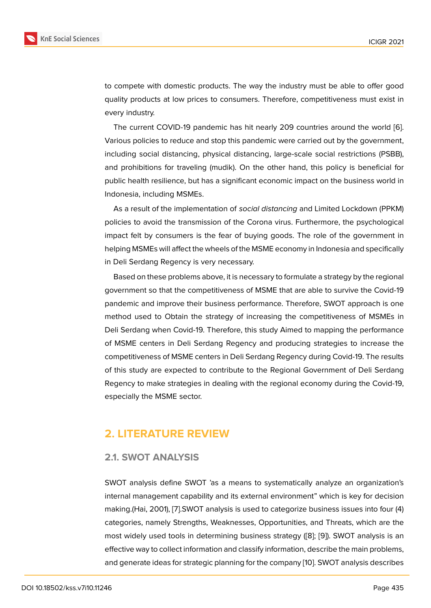to compete with domestic products. The way the industry must be able to offer good quality products at low prices to consumers. Therefore, competitiveness must exist in every industry.

The current COVID-19 pandemic has hit nearly 209 countries around the world [6]. Various policies to reduce and stop this pandemic were carried out by the government, including social distancing, physical distancing, large-scale social restrictions (PSBB), and prohibitions for traveling (mudik). On the other hand, this policy is beneficial [fo](#page-7-0)r public health resilience, but has a significant economic impact on the business world in Indonesia, including MSMEs.

As a result of the implementation of *social distancing* and Limited Lockdown (PPKM) policies to avoid the transmission of the Corona virus. Furthermore, the psychological impact felt by consumers is the fear of buying goods. The role of the government in helping MSMEs will affect the wheels of the MSME economy in Indonesia and specifically in Deli Serdang Regency is very necessary.

Based on these problems above, it is necessary to formulate a strategy by the regional government so that the competitiveness of MSME that are able to survive the Covid-19 pandemic and improve their business performance. Therefore, SWOT approach is one method used to Obtain the strategy of increasing the competitiveness of MSMEs in Deli Serdang when Covid-19. Therefore, this study Aimed to mapping the performance of MSME centers in Deli Serdang Regency and producing strategies to increase the competitiveness of MSME centers in Deli Serdang Regency during Covid-19. The results of this study are expected to contribute to the Regional Government of Deli Serdang Regency to make strategies in dealing with the regional economy during the Covid-19, especially the MSME sector.

### **2. LITERATURE REVIEW**

#### **2.1. SWOT ANALYSIS**

SWOT analysis define SWOT 'as a means to systematically analyze an organization's internal management capability and its external environment" which is key for decision making.(Hai, 2001), [7].SWOT analysis is used to categorize business issues into four (4) categories, namely Strengths, Weaknesses, Opportunities, and Threats, which are the most widely used tools in determining business strategy ([8]; [9]). SWOT analysis is an effective way to coll[ec](#page-7-1)t information and classify information, describe the main problems, and generate ideas for strategic planning for the company [10]. SWOT analysis describes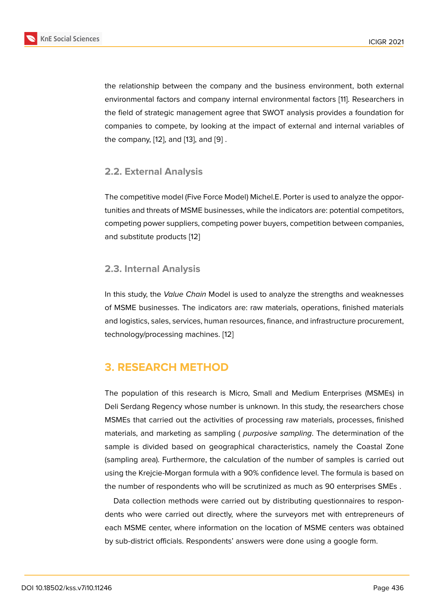the relationship between the company and the business environment, both external environmental factors and company internal environmental factors [11]. Researchers in the field of strategic management agree that SWOT analysis provides a foundation for companies to compete, by looking at the impact of external and internal variables of the company, [12], and [13], and [9] .

#### **2.2. Extern[al](#page-7-2) Anal[ys](#page-7-3)is**

The competitive model (Five Force Model) Michel.E. Porter is used to analyze the opportunities and threats of MSME businesses, while the indicators are: potential competitors, competing power suppliers, competing power buyers, competition between companies, and substitute products [12]

#### **2.3. Internal Analy[sis](#page-7-2)**

In this study, the *Value Chain* Model is used to analyze the strengths and weaknesses of MSME businesses. The indicators are: raw materials, operations, finished materials and logistics, sales, services, human resources, finance, and infrastructure procurement, technology/processing machines. [12]

## **3. RESEARCH METHO[D](#page-7-2)**

The population of this research is Micro, Small and Medium Enterprises (MSMEs) in Deli Serdang Regency whose number is unknown. In this study, the researchers chose MSMEs that carried out the activities of processing raw materials, processes, finished materials, and marketing as sampling ( *purposive sampling*. The determination of the sample is divided based on geographical characteristics, namely the Coastal Zone (sampling area). Furthermore, the calculation of the number of samples is carried out using the Krejcie-Morgan formula with a 90% confidence level. The formula is based on the number of respondents who will be scrutinized as much as 90 enterprises SMEs .

Data collection methods were carried out by distributing questionnaires to respondents who were carried out directly, where the surveyors met with entrepreneurs of each MSME center, where information on the location of MSME centers was obtained by sub-district officials. Respondents' answers were done using a google form.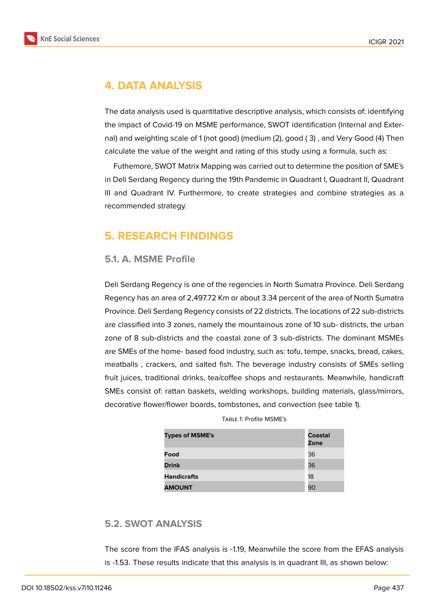

## **4. DATA ANALYSIS**

The data analysis used is quantitative descriptive analysis, which consists of: identifying the impact of Covid-19 on MSME performance, SWOT identification (Internal and External) and weighting scale of 1 (not good) (medium (2), good ( 3) , and Very Good (4) Then calculate the value of the weight and rating of this study using a formula, such as:

Futhemore, SWOT Matrix Mapping was carried out to determine the position of SME's in Deli Serdang Regency during the 19th Pandemic in Quadrant I, Quadrant II, Quadrant III and Quadrant IV. Furthermore, to create strategies and combine strategies as a recommended strategy.

## **5. RESEARCH FINDINGS**

#### **5.1. A. MSME Profile**

Deli Serdang Regency is one of the regencies in North Sumatra Province. Deli Serdang Regency has an area of 2,497.72 Km or about 3.34 percent of the area of North Sumatra Province. Deli Serdang Regency consists of 22 districts. The locations of 22 sub-districts are classified into 3 zones, namely the mountainous zone of 10 sub- districts, the urban zone of 8 sub-districts and the coastal zone of 3 sub-districts. The dominant MSMEs are SMEs of the home- based food industry, such as: tofu, tempe, snacks, bread, cakes, meatballs , crackers, and salted fish. The beverage industry consists of SMEs selling fruit juices, traditional drinks, tea/coffee shops and restaurants. Meanwhile, handicraft SMEs consist of: rattan baskets, welding workshops, building materials, glass/mirrors, decorative flower/flower boards, tombstones, and convection (see table 1).

| <b>Types of MSME's</b> | Coastal<br>Zone |
|------------------------|-----------------|
| Food                   | 36              |
| <b>Drink</b>           | 36              |
| <b>Handicrafts</b>     | 18              |
| <b>AMOUNT</b>          | 90              |

#### **5.2. SWOT ANALYSIS**

The score from the IFAS analysis is -1.19, Meanwhile the score from the EFAS analysis is -1.53. These results indicate that this analysis is in quadrant III, as shown below: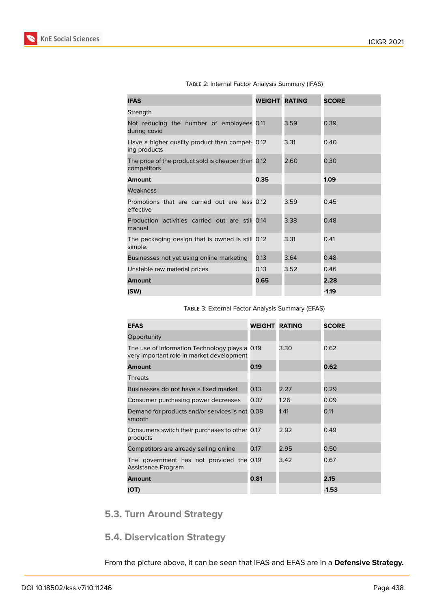

| <b>IFAS</b>                                                       | <b>WEIGHT RATING</b> |      | <b>SCORE</b> |
|-------------------------------------------------------------------|----------------------|------|--------------|
| Strength                                                          |                      |      |              |
| Not reducing the number of employees 0.11<br>during covid         |                      | 3.59 | 0.39         |
| Have a higher quality product than compet- 0.12<br>ing products   |                      | 3.31 | 0.40         |
| The price of the product sold is cheaper than 0.12<br>competitors |                      | 2.60 | 0.30         |
| <b>Amount</b>                                                     | 0.35                 |      | 1.09         |
| Weakness                                                          |                      |      |              |
| Promotions that are carried out are less 0.12<br>effective        |                      | 3.59 | 0.45         |
| Production activities carried out are still 0.14<br>manual        |                      | 3.38 | 0.48         |
| The packaging design that is owned is still 0.12<br>simple.       |                      | 3.31 | 0.41         |
| Businesses not yet using online marketing                         | 0.13                 | 3.64 | 0.48         |
| Unstable raw material prices                                      | 0.13                 | 3.52 | 0.46         |
| <b>Amount</b>                                                     | 0.65                 |      | 2.28         |
| (SW)                                                              |                      |      | $-1.19$      |

Table 2: Internal Factor Analysis Summary (IFAS)

Table 3: External Factor Analysis Summary (EFAS)

| <b>EFAS</b>                                                                                 | <b>WEIGHT RATING</b> |      | <b>SCORE</b> |
|---------------------------------------------------------------------------------------------|----------------------|------|--------------|
| Opportunity                                                                                 |                      |      |              |
| The use of Information Technology plays a 0.19<br>very important role in market development |                      | 3.30 | 0.62         |
| <b>Amount</b>                                                                               | 0.19                 |      | 0.62         |
| <b>Threats</b>                                                                              |                      |      |              |
| Businesses do not have a fixed market                                                       | 0.13                 | 2.27 | 0.29         |
| Consumer purchasing power decreases                                                         | 0.07                 | 1.26 | 0.09         |
| Demand for products and/or services is not 0.08<br>smooth                                   |                      | 1.41 | 0.11         |
| Consumers switch their purchases to other 0.17<br>products                                  |                      | 2.92 | 0.49         |
| Competitors are already selling online                                                      | 0.17                 | 2.95 | 0.50         |
| The government has not provided the 0.19<br>Assistance Program                              |                      | 3.42 | 0.67         |
| <b>Amount</b>                                                                               | 0.81                 |      | 2.15         |
| (OT)                                                                                        |                      |      | $-1.53$      |

## **5.3. Turn Around Strategy**

## **5.4. Diservication Strategy**

From the picture above, it can be seen that IFAS and EFAS are in a **Defensive Strategy.**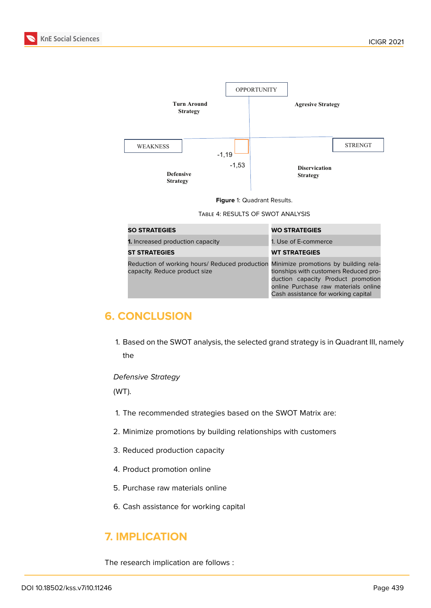

**Figure** 1: Quadrant Results.

Table 4: RESULTS OF SWOT ANALYSIS

| <b>SO STRATEGIES</b>                                                                                                  | <b>WO STRATEGIES</b>                                                                                                                                       |
|-----------------------------------------------------------------------------------------------------------------------|------------------------------------------------------------------------------------------------------------------------------------------------------------|
| <b>1.</b> Increased production capacity                                                                               | 1. Use of E-commerce                                                                                                                                       |
| <b>ST STRATEGIES</b>                                                                                                  | <b>WT STRATEGIES</b>                                                                                                                                       |
| Reduction of working hours/ Reduced production Minimize promotions by building rela-<br>capacity. Reduce product size | tionships with customers Reduced pro-<br>duction capacity Product promotion<br>online Purchase raw materials online<br>Cash assistance for working capital |

## **6. CONCLUSION**

1. Based on the SWOT analysis, the selected grand strategy is in Quadrant III, namely the

#### *Defensive Strategy*

(WT).

- 1. The recommended strategies based on the SWOT Matrix are:
- 2. Minimize promotions by building relationships with customers
- 3. Reduced production capacity
- 4. Product promotion online
- 5. Purchase raw materials online
- 6. Cash assistance for working capital

## **7. IMPLICATION**

The research implication are follows :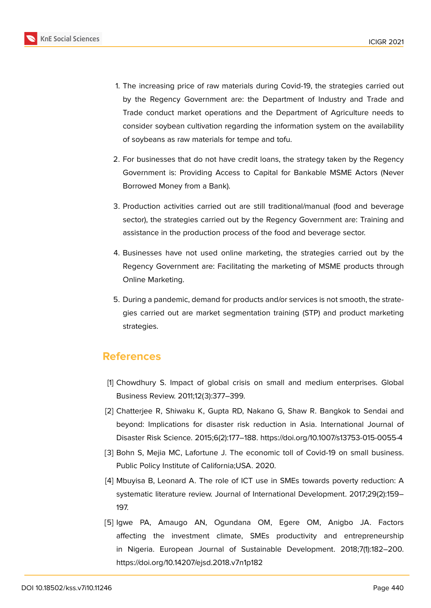

- 1. The increasing price of raw materials during Covid-19, the strategies carried out by the Regency Government are: the Department of Industry and Trade and Trade conduct market operations and the Department of Agriculture needs to consider soybean cultivation regarding the information system on the availability of soybeans as raw materials for tempe and tofu.
- 2. For businesses that do not have credit loans, the strategy taken by the Regency Government is: Providing Access to Capital for Bankable MSME Actors (Never Borrowed Money from a Bank).
- 3. Production activities carried out are still traditional/manual (food and beverage sector), the strategies carried out by the Regency Government are: Training and assistance in the production process of the food and beverage sector.
- 4. Businesses have not used online marketing, the strategies carried out by the Regency Government are: Facilitating the marketing of MSME products through Online Marketing.
- 5. During a pandemic, demand for products and/or services is not smooth, the strategies carried out are market segmentation training (STP) and product marketing strategies.

### **References**

- <span id="page-6-0"></span>[1] Chowdhury S. Impact of global crisis on small and medium enterprises. Global Business Review. 2011;12(3):377–399.
- <span id="page-6-1"></span>[2] Chatterjee R, Shiwaku K, Gupta RD, Nakano G, Shaw R. Bangkok to Sendai and beyond: Implications for disaster risk reduction in Asia. International Journal of Disaster Risk Science. 2015;6(2):177–188. https://doi.org/10.1007/s13753-015-0055-4
- <span id="page-6-2"></span>[3] Bohn S, Mejia MC, Lafortune J. The economic toll of Covid-19 on small business. Public Policy Institute of California;USA. 2020.
- <span id="page-6-3"></span>[4] Mbuyisa B, Leonard A. The role of ICT use in SMEs towards poverty reduction: A systematic literature review. Journal of International Development. 2017;29(2):159– 197.
- <span id="page-6-4"></span>[5] Igwe PA, Amaugo AN, Ogundana OM, Egere OM, Anigbo JA. Factors affecting the investment climate, SMEs productivity and entrepreneurship in Nigeria. European Journal of Sustainable Development. 2018;7(1):182–200. https://doi.org/10.14207/ejsd.2018.v7n1p182